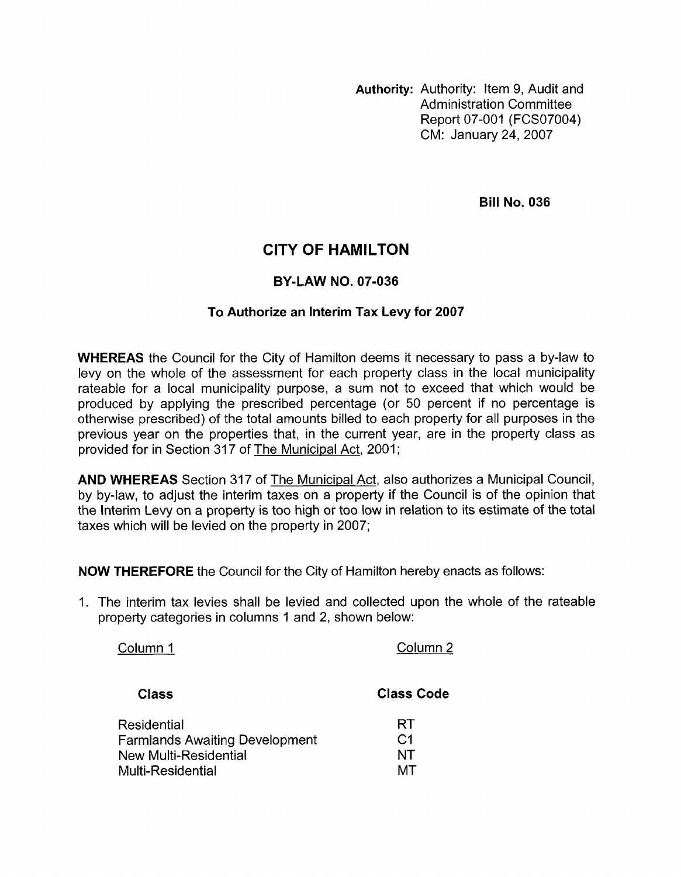**Authority:** Authority: Item 9, Audit and Administration Committee Report 07-001 (FCSO7004) CM: January 24,2007

**Bill No. 036** 

## **CITY OF HAMILTON**

## **BY-LAW NO. 07-036**

## **To Authorize an Interim Tax Levy for 2007**

**WHEREAS** the Council for the City of Hamilton deems it necessary to pass a by-law to levy on the whole of the assessment for each property class in the local municipality rateable for a local municipality purpose, a sum not to exceed that which would be produced by applying the prescribed percentage (or 50 percent if no percentage is otherwise prescribed) of the total amounts billed to each property for all purposes in the previous year on the properties that, in the current year, are in the property class as provided for in Section 317 of The Municipal Act, 2001;

**AND WHEREAS** Section 317 of The Municipal Act, also authorizes a Municipal Council, by by-law, to adjust the interim taxes on a property if the Council is of the opinion that the Interim Levy on a property is too high or too low in relation to its estimate of the total taxes which will be levied on the property in 2007;

**NOW THEREFORE** the Council for the City of Hamilton hereby enacts as follows:

1. The interim tax levies shall be levied and collected upon the whole of the rateable property categories in columns 1 and 2, shown below:

Column 1 Column 2 **Class Class Code**  Residential and RT New Multi-Residential NT Multi-Residential MT Farmlands Awaiting Development C1